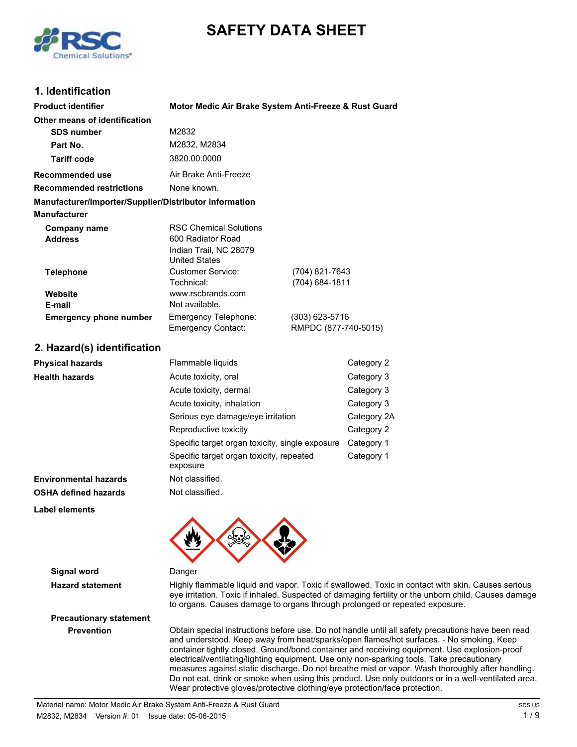# **SAFETY DATA SHEET**



## **1. Identification**

| <b>Product identifier</b>                              | Motor Medic Air Brake System Anti-Freeze & Rust Guard                                                |                                  |             |
|--------------------------------------------------------|------------------------------------------------------------------------------------------------------|----------------------------------|-------------|
| Other means of identification                          |                                                                                                      |                                  |             |
| <b>SDS number</b>                                      | M2832                                                                                                |                                  |             |
| Part No.                                               | M2832, M2834                                                                                         |                                  |             |
| <b>Tariff code</b>                                     | 3820.00.0000                                                                                         |                                  |             |
| <b>Recommended use</b>                                 | Air Brake Anti-Freeze                                                                                |                                  |             |
| <b>Recommended restrictions</b>                        | None known.                                                                                          |                                  |             |
| Manufacturer/Importer/Supplier/Distributor information |                                                                                                      |                                  |             |
| <b>Manufacturer</b>                                    |                                                                                                      |                                  |             |
| <b>Company name</b><br><b>Address</b>                  | <b>RSC Chemical Solutions</b><br>600 Radiator Road<br>Indian Trail, NC 28079<br><b>United States</b> |                                  |             |
| <b>Telephone</b>                                       | <b>Customer Service:</b><br>Technical:                                                               | (704) 821-7643<br>(704) 684-1811 |             |
| Website                                                | www.rscbrands.com                                                                                    |                                  |             |
| E-mail                                                 | Not available.                                                                                       |                                  |             |
| <b>Emergency phone number</b>                          | Emergency Telephone:<br>(303) 623-5716<br>RMPDC (877-740-5015)<br>Emergency Contact:                 |                                  |             |
| 2. Hazard(s) identification                            |                                                                                                      |                                  |             |
| <b>Physical hazards</b>                                | Flammable liquids                                                                                    |                                  | Category 2  |
| <b>Health hazards</b>                                  | Acute toxicity, oral                                                                                 |                                  | Category 3  |
|                                                        | Acute toxicity, dermal                                                                               |                                  | Category 3  |
|                                                        | Acute toxicity, inhalation                                                                           |                                  | Category 3  |
|                                                        | Serious eye damage/eye irritation                                                                    |                                  | Category 2A |
|                                                        | Reproductive toxicity                                                                                |                                  | Category 2  |
|                                                        | Specific target organ toxicity, single exposure                                                      |                                  | Category 1  |
|                                                        | Specific target organ toxicity, repeated<br>exposure                                                 |                                  | Category 1  |
| <b>Environmental hazards</b>                           | Not classified.                                                                                      |                                  |             |
| <b>OSHA defined hazards</b>                            | Not classified.                                                                                      |                                  |             |
| <b>Label elements</b>                                  |                                                                                                      |                                  |             |
|                                                        |                                                                                                      |                                  |             |

**Signal word** Danger

**Hazard statement** Highly flammable liquid and vapor. Toxic if swallowed. Toxic in contact with skin. Causes serious eye irritation. Toxic if inhaled. Suspected of damaging fertility or the unborn child. Causes damage to organs. Causes damage to organs through prolonged or repeated exposure.

**Precautionary statement**

**Prevention** Obtain special instructions before use. Do not handle until all safety precautions have been read and understood. Keep away from heat/sparks/open flames/hot surfaces. - No smoking. Keep container tightly closed. Ground/bond container and receiving equipment. Use explosion-proof electrical/ventilating/lighting equipment. Use only non-sparking tools. Take precautionary measures against static discharge. Do not breathe mist or vapor. Wash thoroughly after handling. Do not eat, drink or smoke when using this product. Use only outdoors or in a well-ventilated area. Wear protective gloves/protective clothing/eye protection/face protection.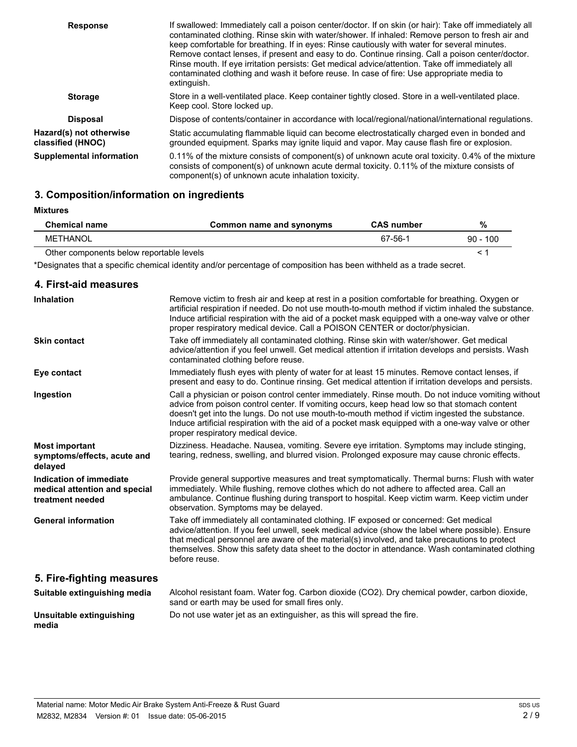| <b>Response</b>                              | If swallowed: Immediately call a poison center/doctor. If on skin (or hair): Take off immediately all<br>contaminated clothing. Rinse skin with water/shower. If inhaled: Remove person to fresh air and<br>keep comfortable for breathing. If in eyes: Rinse cautiously with water for several minutes.<br>Remove contact lenses, if present and easy to do. Continue rinsing. Call a poison center/doctor.<br>Rinse mouth. If eye irritation persists: Get medical advice/attention. Take off immediately all<br>contaminated clothing and wash it before reuse. In case of fire: Use appropriate media to<br>extinguish. |
|----------------------------------------------|-----------------------------------------------------------------------------------------------------------------------------------------------------------------------------------------------------------------------------------------------------------------------------------------------------------------------------------------------------------------------------------------------------------------------------------------------------------------------------------------------------------------------------------------------------------------------------------------------------------------------------|
| <b>Storage</b>                               | Store in a well-ventilated place. Keep container tightly closed. Store in a well-ventilated place.<br>Keep cool. Store locked up.                                                                                                                                                                                                                                                                                                                                                                                                                                                                                           |
| <b>Disposal</b>                              | Dispose of contents/container in accordance with local/regional/national/international regulations.                                                                                                                                                                                                                                                                                                                                                                                                                                                                                                                         |
| Hazard(s) not otherwise<br>classified (HNOC) | Static accumulating flammable liquid can become electrostatically charged even in bonded and<br>grounded equipment. Sparks may ignite liquid and vapor. May cause flash fire or explosion.                                                                                                                                                                                                                                                                                                                                                                                                                                  |
| <b>Supplemental information</b>              | 0.11% of the mixture consists of component(s) of unknown acute oral toxicity. 0.4% of the mixture<br>consists of component(s) of unknown acute dermal toxicity. 0.11% of the mixture consists of<br>component(s) of unknown acute inhalation toxicity.                                                                                                                                                                                                                                                                                                                                                                      |

# **3. Composition/information on ingredients**

#### **Mixtures**

| <b>Chemical name</b>                     | Common name and synonyms | <b>CAS number</b> | %          |
|------------------------------------------|--------------------------|-------------------|------------|
| METHANOL                                 |                          | 67-56-1           | $90 - 100$ |
| Other components below reportable levels |                          |                   |            |

\*Designates that a specific chemical identity and/or percentage of composition has been withheld as a trade secret.

| 4. First-aid measures                                                        |                                                                                                                                                                                                                                                                                                                                                                                                                                                  |
|------------------------------------------------------------------------------|--------------------------------------------------------------------------------------------------------------------------------------------------------------------------------------------------------------------------------------------------------------------------------------------------------------------------------------------------------------------------------------------------------------------------------------------------|
| <b>Inhalation</b>                                                            | Remove victim to fresh air and keep at rest in a position comfortable for breathing. Oxygen or<br>artificial respiration if needed. Do not use mouth-to-mouth method if victim inhaled the substance.<br>Induce artificial respiration with the aid of a pocket mask equipped with a one-way valve or other<br>proper respiratory medical device. Call a POISON CENTER or doctor/physician.                                                      |
| <b>Skin contact</b>                                                          | Take off immediately all contaminated clothing. Rinse skin with water/shower. Get medical<br>advice/attention if you feel unwell. Get medical attention if irritation develops and persists. Wash<br>contaminated clothing before reuse.                                                                                                                                                                                                         |
| Eye contact                                                                  | Immediately flush eyes with plenty of water for at least 15 minutes. Remove contact lenses, if<br>present and easy to do. Continue rinsing. Get medical attention if irritation develops and persists.                                                                                                                                                                                                                                           |
| Ingestion                                                                    | Call a physician or poison control center immediately. Rinse mouth. Do not induce vomiting without<br>advice from poison control center. If vomiting occurs, keep head low so that stomach content<br>doesn't get into the lungs. Do not use mouth-to-mouth method if victim ingested the substance.<br>Induce artificial respiration with the aid of a pocket mask equipped with a one-way valve or other<br>proper respiratory medical device. |
| <b>Most important</b><br>symptoms/effects, acute and<br>delayed              | Dizziness. Headache. Nausea, vomiting. Severe eye irritation. Symptoms may include stinging,<br>tearing, redness, swelling, and blurred vision. Prolonged exposure may cause chronic effects.                                                                                                                                                                                                                                                    |
| Indication of immediate<br>medical attention and special<br>treatment needed | Provide general supportive measures and treat symptomatically. Thermal burns: Flush with water<br>immediately. While flushing, remove clothes which do not adhere to affected area. Call an<br>ambulance. Continue flushing during transport to hospital. Keep victim warm. Keep victim under<br>observation. Symptoms may be delayed.                                                                                                           |
| <b>General information</b>                                                   | Take off immediately all contaminated clothing. IF exposed or concerned: Get medical<br>advice/attention. If you feel unwell, seek medical advice (show the label where possible). Ensure<br>that medical personnel are aware of the material(s) involved, and take precautions to protect<br>themselves. Show this safety data sheet to the doctor in attendance. Wash contaminated clothing<br>before reuse.                                   |
| 5. Fire-fighting measures                                                    |                                                                                                                                                                                                                                                                                                                                                                                                                                                  |
| Suitable extinguishing media                                                 | Alcohol resistant foam. Water fog. Carbon dioxide (CO2). Dry chemical powder, carbon dioxide,<br>sand or earth may be used for small fires only.                                                                                                                                                                                                                                                                                                 |
| Unsuitable extinguishing<br>media                                            | Do not use water jet as an extinguisher, as this will spread the fire.                                                                                                                                                                                                                                                                                                                                                                           |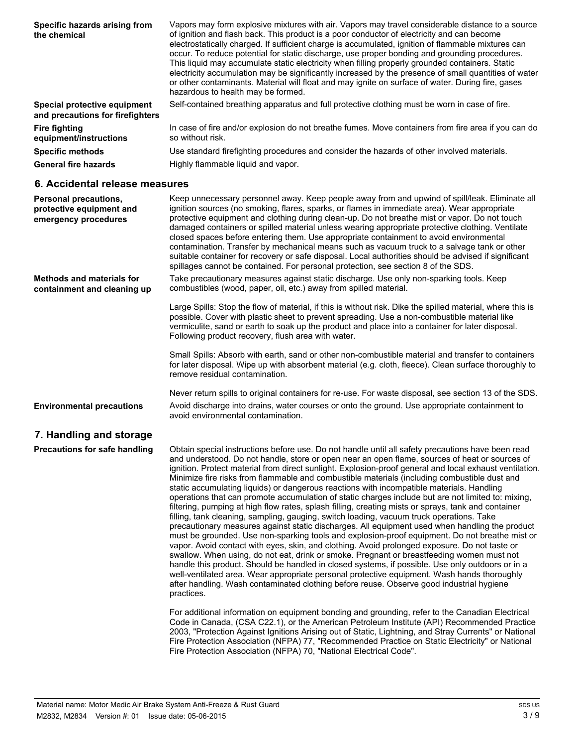| Specific hazards arising from<br>the chemical                    | Vapors may form explosive mixtures with air. Vapors may travel considerable distance to a source<br>of ignition and flash back. This product is a poor conductor of electricity and can become<br>electrostatically charged. If sufficient charge is accumulated, ignition of flammable mixtures can<br>occur. To reduce potential for static discharge, use proper bonding and grounding procedures.<br>This liquid may accumulate static electricity when filling properly grounded containers. Static<br>electricity accumulation may be significantly increased by the presence of small quantities of water<br>or other contaminants. Material will float and may ignite on surface of water. During fire, gases<br>hazardous to health may be formed. |
|------------------------------------------------------------------|-------------------------------------------------------------------------------------------------------------------------------------------------------------------------------------------------------------------------------------------------------------------------------------------------------------------------------------------------------------------------------------------------------------------------------------------------------------------------------------------------------------------------------------------------------------------------------------------------------------------------------------------------------------------------------------------------------------------------------------------------------------|
| Special protective equipment<br>and precautions for firefighters | Self-contained breathing apparatus and full protective clothing must be worn in case of fire.                                                                                                                                                                                                                                                                                                                                                                                                                                                                                                                                                                                                                                                               |
| <b>Fire fighting</b><br>equipment/instructions                   | In case of fire and/or explosion do not breathe fumes. Move containers from fire area if you can do<br>so without risk.                                                                                                                                                                                                                                                                                                                                                                                                                                                                                                                                                                                                                                     |
| <b>Specific methods</b>                                          | Use standard firefighting procedures and consider the hazards of other involved materials.                                                                                                                                                                                                                                                                                                                                                                                                                                                                                                                                                                                                                                                                  |
| <b>General fire hazards</b>                                      | Highly flammable liguid and vapor.                                                                                                                                                                                                                                                                                                                                                                                                                                                                                                                                                                                                                                                                                                                          |

#### **6. Accidental release measures**

| Personal precautions,<br>protective equipment and<br>emergency procedures | Keep unnecessary personnel away. Keep people away from and upwind of spill/leak. Eliminate all<br>ignition sources (no smoking, flares, sparks, or flames in immediate area). Wear appropriate<br>protective equipment and clothing during clean-up. Do not breathe mist or vapor. Do not touch<br>damaged containers or spilled material unless wearing appropriate protective clothing. Ventilate<br>closed spaces before entering them. Use appropriate containment to avoid environmental<br>contamination. Transfer by mechanical means such as vacuum truck to a salvage tank or other<br>suitable container for recovery or safe disposal. Local authorities should be advised if significant<br>spillages cannot be contained. For personal protection, see section 8 of the SDS. |
|---------------------------------------------------------------------------|-------------------------------------------------------------------------------------------------------------------------------------------------------------------------------------------------------------------------------------------------------------------------------------------------------------------------------------------------------------------------------------------------------------------------------------------------------------------------------------------------------------------------------------------------------------------------------------------------------------------------------------------------------------------------------------------------------------------------------------------------------------------------------------------|
| <b>Methods and materials for</b><br>containment and cleaning up           | Take precautionary measures against static discharge. Use only non-sparking tools. Keep<br>combustibles (wood, paper, oil, etc.) away from spilled material.                                                                                                                                                                                                                                                                                                                                                                                                                                                                                                                                                                                                                              |
|                                                                           | Large Spills: Stop the flow of material, if this is without risk. Dike the spilled material, where this is<br>possible. Cover with plastic sheet to prevent spreading. Use a non-combustible material like<br>vermiculite, sand or earth to soak up the product and place into a container for later disposal.<br>Following product recovery, flush area with water.                                                                                                                                                                                                                                                                                                                                                                                                                      |
|                                                                           | Small Spills: Absorb with earth, sand or other non-combustible material and transfer to containers<br>for later disposal. Wipe up with absorbent material (e.g. cloth, fleece). Clean surface thoroughly to<br>remove residual contamination.                                                                                                                                                                                                                                                                                                                                                                                                                                                                                                                                             |
|                                                                           | Never return spills to original containers for re-use. For waste disposal, see section 13 of the SDS.                                                                                                                                                                                                                                                                                                                                                                                                                                                                                                                                                                                                                                                                                     |
| <b>Environmental precautions</b>                                          | Avoid discharge into drains, water courses or onto the ground. Use appropriate containment to<br>avoid environmental contamination.                                                                                                                                                                                                                                                                                                                                                                                                                                                                                                                                                                                                                                                       |
| 7. Handling and storage                                                   |                                                                                                                                                                                                                                                                                                                                                                                                                                                                                                                                                                                                                                                                                                                                                                                           |

Obtain special instructions before use. Do not handle until all safety precautions have been read and understood. Do not handle, store or open near an open flame, sources of heat or sources of ignition. Protect material from direct sunlight. Explosion-proof general and local exhaust ventilation. Minimize fire risks from flammable and combustible materials (including combustible dust and static accumulating liquids) or dangerous reactions with incompatible materials. Handling operations that can promote accumulation of static charges include but are not limited to: mixing, filtering, pumping at high flow rates, splash filling, creating mists or sprays, tank and container filling, tank cleaning, sampling, gauging, switch loading, vacuum truck operations. Take precautionary measures against static discharges. All equipment used when handling the product must be grounded. Use non-sparking tools and explosion-proof equipment. Do not breathe mist or vapor. Avoid contact with eyes, skin, and clothing. Avoid prolonged exposure. Do not taste or swallow. When using, do not eat, drink or smoke. Pregnant or breastfeeding women must not handle this product. Should be handled in closed systems, if possible. Use only outdoors or in a well-ventilated area. Wear appropriate personal protective equipment. Wash hands thoroughly after handling. Wash contaminated clothing before reuse. Observe good industrial hygiene practices. **Precautions for safe handling**

> For additional information on equipment bonding and grounding, refer to the Canadian Electrical Code in Canada, (CSA C22.1), or the American Petroleum Institute (API) Recommended Practice 2003, "Protection Against Ignitions Arising out of Static, Lightning, and Stray Currents" or National Fire Protection Association (NFPA) 77, "Recommended Practice on Static Electricity" or National Fire Protection Association (NFPA) 70, "National Electrical Code".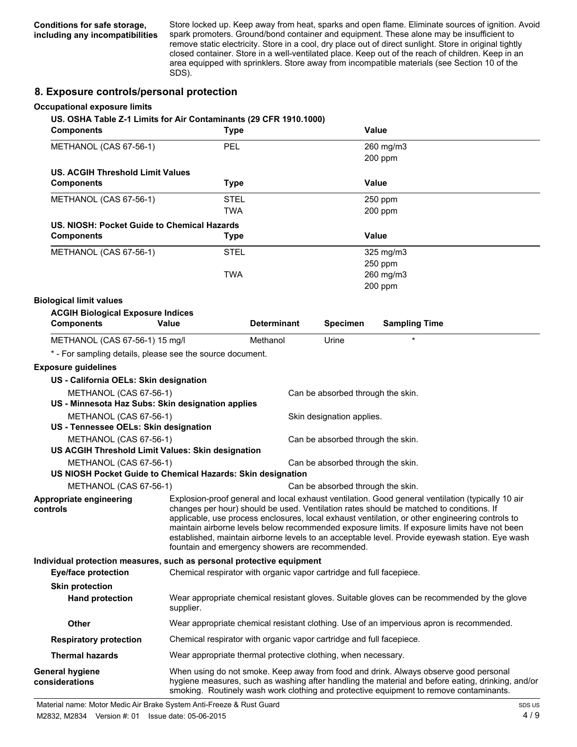Store locked up. Keep away from heat, sparks and open flame. Eliminate sources of ignition. Avoid spark promoters. Ground/bond container and equipment. These alone may be insufficient to remove static electricity. Store in a cool, dry place out of direct sunlight. Store in original tightly closed container. Store in a well-ventilated place. Keep out of the reach of children. Keep in an area equipped with sprinklers. Store away from incompatible materials (see Section 10 of the SDS).

#### **8. Exposure controls/personal protection**

| <b>Occupational exposure limits</b><br>US. OSHA Table Z-1 Limits for Air Contaminants (29 CFR 1910.1000)<br><b>Components</b> |           | <b>Type</b>                                                                                                                                                                                                                                                                                                                                                                                                                                                                                                                                           |                                   | <b>Value</b>                                                                                                                                                                                                                                                                        |
|-------------------------------------------------------------------------------------------------------------------------------|-----------|-------------------------------------------------------------------------------------------------------------------------------------------------------------------------------------------------------------------------------------------------------------------------------------------------------------------------------------------------------------------------------------------------------------------------------------------------------------------------------------------------------------------------------------------------------|-----------------------------------|-------------------------------------------------------------------------------------------------------------------------------------------------------------------------------------------------------------------------------------------------------------------------------------|
|                                                                                                                               |           |                                                                                                                                                                                                                                                                                                                                                                                                                                                                                                                                                       |                                   |                                                                                                                                                                                                                                                                                     |
| METHANOL (CAS 67-56-1)                                                                                                        | PEL       |                                                                                                                                                                                                                                                                                                                                                                                                                                                                                                                                                       |                                   | 260 mg/m3<br>200 ppm                                                                                                                                                                                                                                                                |
| <b>US. ACGIH Threshold Limit Values</b>                                                                                       |           |                                                                                                                                                                                                                                                                                                                                                                                                                                                                                                                                                       |                                   |                                                                                                                                                                                                                                                                                     |
| <b>Components</b>                                                                                                             |           | <b>Type</b>                                                                                                                                                                                                                                                                                                                                                                                                                                                                                                                                           |                                   | Value                                                                                                                                                                                                                                                                               |
| METHANOL (CAS 67-56-1)                                                                                                        |           | <b>STEL</b>                                                                                                                                                                                                                                                                                                                                                                                                                                                                                                                                           |                                   | 250 ppm                                                                                                                                                                                                                                                                             |
|                                                                                                                               |           | <b>TWA</b>                                                                                                                                                                                                                                                                                                                                                                                                                                                                                                                                            |                                   | 200 ppm                                                                                                                                                                                                                                                                             |
| US. NIOSH: Pocket Guide to Chemical Hazards                                                                                   |           |                                                                                                                                                                                                                                                                                                                                                                                                                                                                                                                                                       |                                   |                                                                                                                                                                                                                                                                                     |
| <b>Components</b>                                                                                                             |           | <b>Type</b>                                                                                                                                                                                                                                                                                                                                                                                                                                                                                                                                           |                                   | Value                                                                                                                                                                                                                                                                               |
| METHANOL (CAS 67-56-1)                                                                                                        |           | STEL                                                                                                                                                                                                                                                                                                                                                                                                                                                                                                                                                  |                                   | 325 mg/m3                                                                                                                                                                                                                                                                           |
|                                                                                                                               |           |                                                                                                                                                                                                                                                                                                                                                                                                                                                                                                                                                       |                                   | 250 ppm                                                                                                                                                                                                                                                                             |
|                                                                                                                               |           | <b>TWA</b>                                                                                                                                                                                                                                                                                                                                                                                                                                                                                                                                            |                                   | 260 mg/m3                                                                                                                                                                                                                                                                           |
|                                                                                                                               |           |                                                                                                                                                                                                                                                                                                                                                                                                                                                                                                                                                       |                                   | 200 ppm                                                                                                                                                                                                                                                                             |
| <b>Biological limit values</b>                                                                                                |           |                                                                                                                                                                                                                                                                                                                                                                                                                                                                                                                                                       |                                   |                                                                                                                                                                                                                                                                                     |
| <b>ACGIH Biological Exposure Indices</b><br><b>Components</b>                                                                 | Value     | <b>Determinant</b>                                                                                                                                                                                                                                                                                                                                                                                                                                                                                                                                    | <b>Specimen</b>                   | <b>Sampling Time</b>                                                                                                                                                                                                                                                                |
| METHANOL (CAS 67-56-1) 15 mg/l                                                                                                |           | Methanol                                                                                                                                                                                                                                                                                                                                                                                                                                                                                                                                              | Urine                             |                                                                                                                                                                                                                                                                                     |
| * - For sampling details, please see the source document.                                                                     |           |                                                                                                                                                                                                                                                                                                                                                                                                                                                                                                                                                       |                                   |                                                                                                                                                                                                                                                                                     |
| <b>Exposure guidelines</b>                                                                                                    |           |                                                                                                                                                                                                                                                                                                                                                                                                                                                                                                                                                       |                                   |                                                                                                                                                                                                                                                                                     |
| US - California OELs: Skin designation                                                                                        |           |                                                                                                                                                                                                                                                                                                                                                                                                                                                                                                                                                       |                                   |                                                                                                                                                                                                                                                                                     |
| METHANOL (CAS 67-56-1)                                                                                                        |           |                                                                                                                                                                                                                                                                                                                                                                                                                                                                                                                                                       |                                   |                                                                                                                                                                                                                                                                                     |
| US - Minnesota Haz Subs: Skin designation applies                                                                             |           |                                                                                                                                                                                                                                                                                                                                                                                                                                                                                                                                                       | Can be absorbed through the skin. |                                                                                                                                                                                                                                                                                     |
| METHANOL (CAS 67-56-1)                                                                                                        |           |                                                                                                                                                                                                                                                                                                                                                                                                                                                                                                                                                       | Skin designation applies.         |                                                                                                                                                                                                                                                                                     |
| US - Tennessee OELs: Skin designation                                                                                         |           |                                                                                                                                                                                                                                                                                                                                                                                                                                                                                                                                                       |                                   |                                                                                                                                                                                                                                                                                     |
| METHANOL (CAS 67-56-1)                                                                                                        |           |                                                                                                                                                                                                                                                                                                                                                                                                                                                                                                                                                       | Can be absorbed through the skin. |                                                                                                                                                                                                                                                                                     |
| US ACGIH Threshold Limit Values: Skin designation                                                                             |           |                                                                                                                                                                                                                                                                                                                                                                                                                                                                                                                                                       |                                   |                                                                                                                                                                                                                                                                                     |
| METHANOL (CAS 67-56-1)                                                                                                        |           |                                                                                                                                                                                                                                                                                                                                                                                                                                                                                                                                                       | Can be absorbed through the skin. |                                                                                                                                                                                                                                                                                     |
| US NIOSH Pocket Guide to Chemical Hazards: Skin designation                                                                   |           |                                                                                                                                                                                                                                                                                                                                                                                                                                                                                                                                                       |                                   |                                                                                                                                                                                                                                                                                     |
| METHANOL (CAS 67-56-1)                                                                                                        |           |                                                                                                                                                                                                                                                                                                                                                                                                                                                                                                                                                       | Can be absorbed through the skin. |                                                                                                                                                                                                                                                                                     |
| Appropriate engineering<br>controls                                                                                           |           | Explosion-proof general and local exhaust ventilation. Good general ventilation (typically 10 air<br>changes per hour) should be used. Ventilation rates should be matched to conditions. If<br>applicable, use process enclosures, local exhaust ventilation, or other engineering controls to<br>maintain airborne levels below recommended exposure limits. If exposure limits have not been<br>established, maintain airborne levels to an acceptable level. Provide eyewash station. Eye wash<br>fountain and emergency showers are recommended. |                                   |                                                                                                                                                                                                                                                                                     |
| Individual protection measures, such as personal protective equipment<br><b>Eye/face protection</b>                           |           | Chemical respirator with organic vapor cartridge and full facepiece.                                                                                                                                                                                                                                                                                                                                                                                                                                                                                  |                                   |                                                                                                                                                                                                                                                                                     |
| <b>Skin protection</b>                                                                                                        |           |                                                                                                                                                                                                                                                                                                                                                                                                                                                                                                                                                       |                                   |                                                                                                                                                                                                                                                                                     |
| <b>Hand protection</b>                                                                                                        | supplier. |                                                                                                                                                                                                                                                                                                                                                                                                                                                                                                                                                       |                                   | Wear appropriate chemical resistant gloves. Suitable gloves can be recommended by the glove                                                                                                                                                                                         |
| <b>Other</b>                                                                                                                  |           |                                                                                                                                                                                                                                                                                                                                                                                                                                                                                                                                                       |                                   | Wear appropriate chemical resistant clothing. Use of an impervious apron is recommended.                                                                                                                                                                                            |
| <b>Respiratory protection</b>                                                                                                 |           | Chemical respirator with organic vapor cartridge and full facepiece.                                                                                                                                                                                                                                                                                                                                                                                                                                                                                  |                                   |                                                                                                                                                                                                                                                                                     |
| <b>Thermal hazards</b>                                                                                                        |           | Wear appropriate thermal protective clothing, when necessary.                                                                                                                                                                                                                                                                                                                                                                                                                                                                                         |                                   |                                                                                                                                                                                                                                                                                     |
| <b>General hygiene</b><br>considerations                                                                                      |           |                                                                                                                                                                                                                                                                                                                                                                                                                                                                                                                                                       |                                   | When using do not smoke. Keep away from food and drink. Always observe good personal<br>hygiene measures, such as washing after handling the material and before eating, drinking, and/or<br>smoking. Routinely wash work clothing and protective equipment to remove contaminants. |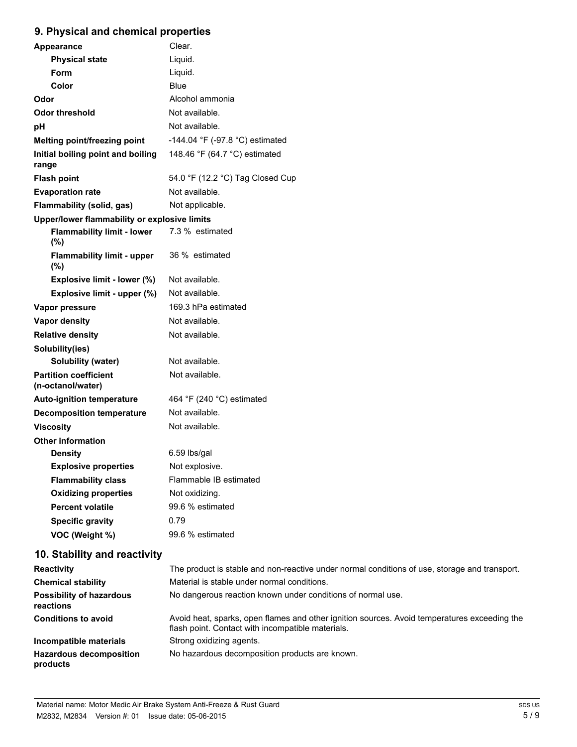# **9. Physical and chemical properties**

| <b>Appearance</b>                                 | Clear.                           |  |  |
|---------------------------------------------------|----------------------------------|--|--|
| <b>Physical state</b>                             | Liquid.                          |  |  |
| Form                                              | Liquid.                          |  |  |
| Color                                             | <b>Blue</b>                      |  |  |
| Odor                                              | Alcohol ammonia                  |  |  |
| <b>Odor threshold</b>                             | Not available.                   |  |  |
| рH                                                | Not available.                   |  |  |
| Melting point/freezing point                      | -144.04 °F (-97.8 °C) estimated  |  |  |
| Initial boiling point and boiling<br>range        | 148.46 °F (64.7 °C) estimated    |  |  |
| <b>Flash point</b>                                | 54.0 °F (12.2 °C) Tag Closed Cup |  |  |
| <b>Evaporation rate</b>                           | Not available.                   |  |  |
| Flammability (solid, gas)                         | Not applicable.                  |  |  |
| Upper/lower flammability or explosive limits      |                                  |  |  |
| <b>Flammability limit - lower</b><br>(%)          | 7.3 % estimated                  |  |  |
| <b>Flammability limit - upper</b><br>(%)          | 36 % estimated                   |  |  |
| Explosive limit - lower (%)                       | Not available.                   |  |  |
| Explosive limit - upper (%)                       | Not available.                   |  |  |
| Vapor pressure                                    | 169.3 hPa estimated              |  |  |
| <b>Vapor density</b>                              | Not available.                   |  |  |
| <b>Relative density</b>                           | Not available.                   |  |  |
| Solubility(ies)                                   |                                  |  |  |
| Solubility (water)                                | Not available.                   |  |  |
| <b>Partition coefficient</b><br>(n-octanol/water) | Not available.                   |  |  |
| <b>Auto-ignition temperature</b>                  | 464 °F (240 °C) estimated        |  |  |
| <b>Decomposition temperature</b>                  | Not available.                   |  |  |
| <b>Viscosity</b>                                  | Not available.                   |  |  |
| <b>Other information</b>                          |                                  |  |  |
| <b>Density</b>                                    | 6.59 lbs/gal                     |  |  |
| <b>Explosive properties</b>                       | Not explosive.                   |  |  |
| <b>Flammability class</b>                         | Flammable IB estimated           |  |  |
| <b>Oxidizing properties</b>                       | Not oxidizing.                   |  |  |
| <b>Percent volatile</b>                           | 99.6 % estimated                 |  |  |
| <b>Specific gravity</b>                           | 0.79                             |  |  |
| VOC (Weight %)                                    | 99.6 % estimated                 |  |  |

# **10. Stability and reactivity**

| <b>Reactivity</b>                            | The product is stable and non-reactive under normal conditions of use, storage and transport.                                                     |
|----------------------------------------------|---------------------------------------------------------------------------------------------------------------------------------------------------|
| <b>Chemical stability</b>                    | Material is stable under normal conditions.                                                                                                       |
| <b>Possibility of hazardous</b><br>reactions | No dangerous reaction known under conditions of normal use.                                                                                       |
| <b>Conditions to avoid</b>                   | Avoid heat, sparks, open flames and other ignition sources. Avoid temperatures exceeding the<br>flash point. Contact with incompatible materials. |
| Incompatible materials                       | Strong oxidizing agents.                                                                                                                          |
| <b>Hazardous decomposition</b><br>products   | No hazardous decomposition products are known.                                                                                                    |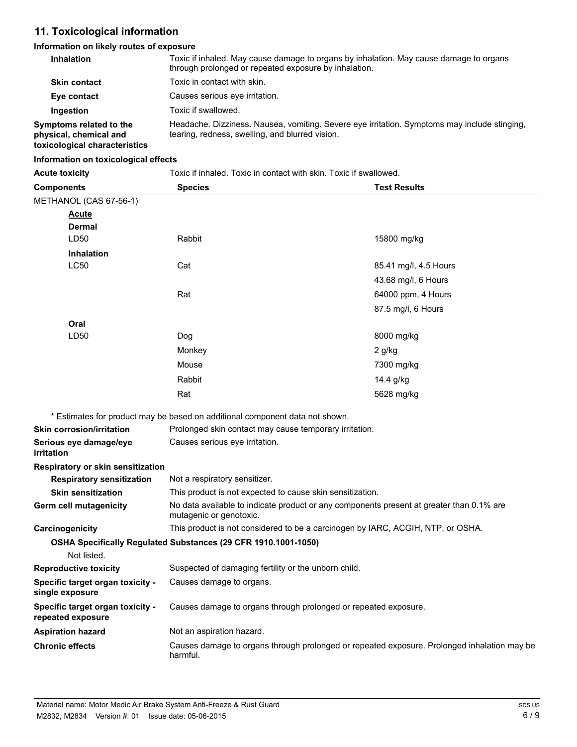# **11. Toxicological information**

#### **Information on likely routes of exposure**

| <b>Inhalation</b>                                                                  | Toxic if inhaled. May cause damage to organs by inhalation. May cause damage to organs<br>through prolonged or repeated exposure by inhalation. |
|------------------------------------------------------------------------------------|-------------------------------------------------------------------------------------------------------------------------------------------------|
| <b>Skin contact</b>                                                                | Toxic in contact with skin.                                                                                                                     |
| Eye contact                                                                        | Causes serious eye irritation.                                                                                                                  |
| Ingestion                                                                          | Toxic if swallowed.                                                                                                                             |
| Symptoms related to the<br>physical, chemical and<br>toxicological characteristics | Headache. Dizziness. Nausea, vomiting. Severe eye irritation. Symptoms may include stinging.<br>tearing, redness, swelling, and blurred vision. |

#### **Information on toxicological effects**

| <b>Acute toxicity</b>                                 | Toxic if inhaled. Toxic in contact with skin. Toxic if swallowed.                                                   |                       |  |
|-------------------------------------------------------|---------------------------------------------------------------------------------------------------------------------|-----------------------|--|
| <b>Components</b>                                     | <b>Species</b>                                                                                                      | <b>Test Results</b>   |  |
| METHANOL (CAS 67-56-1)                                |                                                                                                                     |                       |  |
| <u>Acute</u>                                          |                                                                                                                     |                       |  |
| <b>Dermal</b>                                         |                                                                                                                     |                       |  |
| LD50                                                  | Rabbit                                                                                                              | 15800 mg/kg           |  |
| <b>Inhalation</b>                                     |                                                                                                                     |                       |  |
| <b>LC50</b>                                           | Cat                                                                                                                 | 85.41 mg/l, 4.5 Hours |  |
|                                                       |                                                                                                                     | 43.68 mg/l, 6 Hours   |  |
|                                                       | Rat                                                                                                                 | 64000 ppm, 4 Hours    |  |
|                                                       |                                                                                                                     | 87.5 mg/l, 6 Hours    |  |
| Oral                                                  |                                                                                                                     |                       |  |
| LD50                                                  | Dog                                                                                                                 | 8000 mg/kg            |  |
|                                                       | Monkey                                                                                                              | 2 g/kg                |  |
|                                                       | Mouse                                                                                                               | 7300 mg/kg            |  |
|                                                       | Rabbit                                                                                                              | 14.4 g/kg             |  |
|                                                       | Rat                                                                                                                 | 5628 mg/kg            |  |
|                                                       | * Estimates for product may be based on additional component data not shown.                                        |                       |  |
| <b>Skin corrosion/irritation</b>                      | Prolonged skin contact may cause temporary irritation.                                                              |                       |  |
| Serious eye damage/eye                                | Causes serious eye irritation.                                                                                      |                       |  |
| irritation                                            |                                                                                                                     |                       |  |
| Respiratory or skin sensitization                     |                                                                                                                     |                       |  |
| <b>Respiratory sensitization</b>                      | Not a respiratory sensitizer.                                                                                       |                       |  |
| <b>Skin sensitization</b>                             | This product is not expected to cause skin sensitization.                                                           |                       |  |
| Germ cell mutagenicity                                | No data available to indicate product or any components present at greater than 0.1% are<br>mutagenic or genotoxic. |                       |  |
| Carcinogenicity                                       | This product is not considered to be a carcinogen by IARC, ACGIH, NTP, or OSHA.                                     |                       |  |
|                                                       | OSHA Specifically Regulated Substances (29 CFR 1910.1001-1050)                                                      |                       |  |
| Not listed.                                           |                                                                                                                     |                       |  |
| <b>Reproductive toxicity</b>                          | Suspected of damaging fertility or the unborn child.                                                                |                       |  |
| Specific target organ toxicity -<br>single exposure   | Causes damage to organs.                                                                                            |                       |  |
| Specific target organ toxicity -<br>repeated exposure | Causes damage to organs through prolonged or repeated exposure.                                                     |                       |  |
| <b>Aspiration hazard</b>                              | Not an aspiration hazard.                                                                                           |                       |  |
| <b>Chronic effects</b>                                | Causes damage to organs through prolonged or repeated exposure. Prolonged inhalation may be<br>harmful.             |                       |  |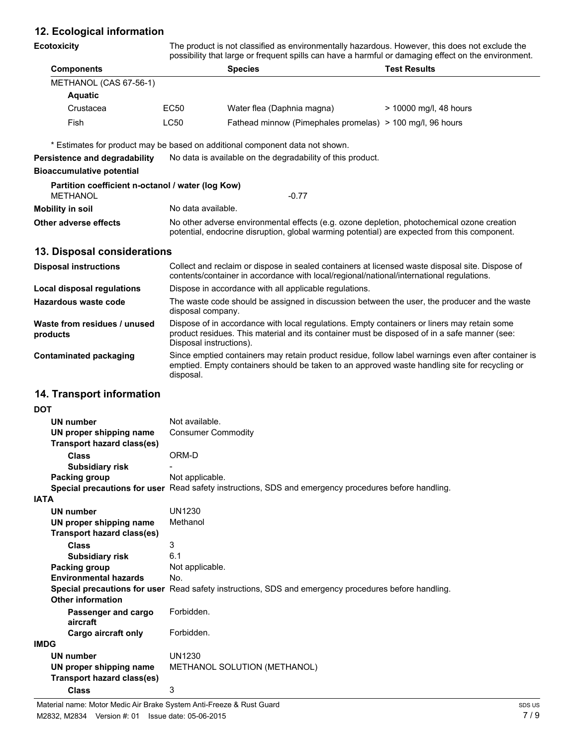## **12. Ecological information**

| Ecotoxicity                                                          | The product is not classified as environmentally hazardous. However, this does not exclude the<br>possibility that large or frequent spills can have a harmful or damaging effect on the environment. |                                                                              |                          |  |
|----------------------------------------------------------------------|-------------------------------------------------------------------------------------------------------------------------------------------------------------------------------------------------------|------------------------------------------------------------------------------|--------------------------|--|
| <b>Components</b>                                                    | <b>Species</b>                                                                                                                                                                                        |                                                                              | <b>Test Results</b>      |  |
| METHANOL (CAS 67-56-1)                                               |                                                                                                                                                                                                       |                                                                              |                          |  |
| <b>Aquatic</b>                                                       |                                                                                                                                                                                                       |                                                                              |                          |  |
| Crustacea                                                            | EC50                                                                                                                                                                                                  | Water flea (Daphnia magna)                                                   | $>$ 10000 mg/l, 48 hours |  |
| Fish                                                                 | LC50                                                                                                                                                                                                  | Fathead minnow (Pimephales promelas) > 100 mg/l, 96 hours                    |                          |  |
|                                                                      |                                                                                                                                                                                                       | * Estimates for product may be based on additional component data not shown. |                          |  |
| Persistence and degradability                                        |                                                                                                                                                                                                       | No data is available on the degradability of this product.                   |                          |  |
| Bioaccumulative potential                                            |                                                                                                                                                                                                       |                                                                              |                          |  |
| Partition coefficient n-octanol / water (log Kow)<br><b>METHANOL</b> |                                                                                                                                                                                                       | $-0.77$                                                                      |                          |  |
| Mobility in soil                                                     |                                                                                                                                                                                                       | No data available.                                                           |                          |  |
| Other adverse effects                                                | No other adverse environmental effects (e.g. ozone depletion, photochemical ozone creation<br>potential, endocrine disruption, global warming potential) are expected from this component.            |                                                                              |                          |  |
| 13. Disposal considerations                                          |                                                                                                                                                                                                       |                                                                              |                          |  |
| <b>Disposal instructions</b>                                         | Collect and reclaim or dispose in sealed containers at licensed waste disposal site. Dispose of<br>contents/container in accordance with local/regional/national/international regulations.           |                                                                              |                          |  |
| Local disposal regulations                                           |                                                                                                                                                                                                       | Dispose in accordance with all applicable regulations.                       |                          |  |
| Hazardous waste code                                                 | The waste code should be assigned in discussion between the user, the producer and the waste<br>disposal company.                                                                                     |                                                                              |                          |  |

Dispose of in accordance with local regulations. Empty containers or liners may retain some product residues. This material and its container must be disposed of in a safe manner (see: Disposal instructions). **Waste from residues / unused products** Since emptied containers may retain product residue, follow label warnings even after container is emptied. Empty containers should be taken to an approved waste handling site for recycling or **Contaminated packaging**

#### **14. Transport information**

disposal.

| <b>DOT</b>                        |                                                                                                      |
|-----------------------------------|------------------------------------------------------------------------------------------------------|
| UN number                         | Not available.                                                                                       |
| UN proper shipping name           | <b>Consumer Commodity</b>                                                                            |
| <b>Transport hazard class(es)</b> |                                                                                                      |
| <b>Class</b>                      | ORM-D                                                                                                |
| <b>Subsidiary risk</b>            |                                                                                                      |
| Packing group                     | Not applicable.                                                                                      |
|                                   | Special precautions for user Read safety instructions, SDS and emergency procedures before handling. |
| <b>IATA</b>                       |                                                                                                      |
| <b>UN number</b>                  | UN1230                                                                                               |
| UN proper shipping name           | Methanol                                                                                             |
| <b>Transport hazard class(es)</b> |                                                                                                      |
| Class                             | 3                                                                                                    |
| <b>Subsidiary risk</b>            | 6.1                                                                                                  |
| Packing group                     | Not applicable.                                                                                      |
| <b>Environmental hazards</b>      | No.                                                                                                  |
|                                   | Special precautions for user Read safety instructions, SDS and emergency procedures before handling. |
| <b>Other information</b>          |                                                                                                      |
| Passenger and cargo<br>aircraft   | Forbidden.                                                                                           |
| Cargo aircraft only               | Forbidden.                                                                                           |
| <b>IMDG</b>                       |                                                                                                      |
| UN number                         | UN1230                                                                                               |
| UN proper shipping name           | METHANOL SOLUTION (METHANOL)                                                                         |
| <b>Transport hazard class(es)</b> |                                                                                                      |
| Class                             | 3                                                                                                    |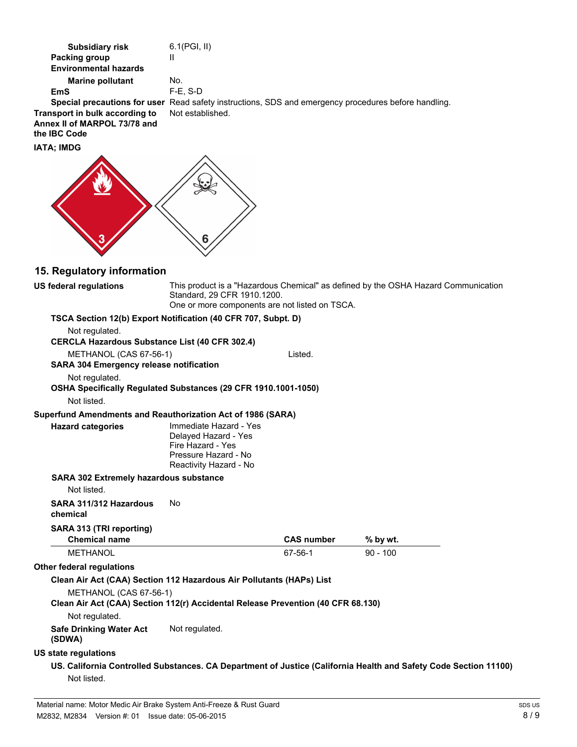| <b>Subsidiary risk</b><br><b>Packing group</b><br><b>Environmental hazards</b><br><b>Marine pollutant</b><br><b>EmS</b><br>Special precautions for user Read safety instructions, SDS and emergency procedures before handling.<br>Transport in bulk according to<br>Annex II of MARPOL 73/78 and<br>the IBC Code<br><b>IATA; IMDG</b> | 6.1(PGI, II)<br>Ш<br>No.<br>F-E, S-D<br>Not established.                                                              |                   |                                                                                                                  |
|----------------------------------------------------------------------------------------------------------------------------------------------------------------------------------------------------------------------------------------------------------------------------------------------------------------------------------------|-----------------------------------------------------------------------------------------------------------------------|-------------------|------------------------------------------------------------------------------------------------------------------|
|                                                                                                                                                                                                                                                                                                                                        | ხ                                                                                                                     |                   |                                                                                                                  |
| 15. Regulatory information                                                                                                                                                                                                                                                                                                             |                                                                                                                       |                   |                                                                                                                  |
| <b>US federal regulations</b>                                                                                                                                                                                                                                                                                                          | Standard, 29 CFR 1910.1200.<br>One or more components are not listed on TSCA.                                         |                   | This product is a "Hazardous Chemical" as defined by the OSHA Hazard Communication                               |
| TSCA Section 12(b) Export Notification (40 CFR 707, Subpt. D)<br>Not regulated.<br><b>CERCLA Hazardous Substance List (40 CFR 302.4)</b>                                                                                                                                                                                               |                                                                                                                       |                   |                                                                                                                  |
| METHANOL (CAS 67-56-1)                                                                                                                                                                                                                                                                                                                 |                                                                                                                       | Listed.           |                                                                                                                  |
| <b>SARA 304 Emergency release notification</b>                                                                                                                                                                                                                                                                                         |                                                                                                                       |                   |                                                                                                                  |
| Not regulated.<br>OSHA Specifically Regulated Substances (29 CFR 1910.1001-1050)<br>Not listed.                                                                                                                                                                                                                                        |                                                                                                                       |                   |                                                                                                                  |
| Superfund Amendments and Reauthorization Act of 1986 (SARA)                                                                                                                                                                                                                                                                            |                                                                                                                       |                   |                                                                                                                  |
| <b>Hazard categories</b>                                                                                                                                                                                                                                                                                                               | Immediate Hazard - Yes<br>Delayed Hazard - Yes<br>Fire Hazard - Yes<br>Pressure Hazard - No<br>Reactivity Hazard - No |                   |                                                                                                                  |
| <b>SARA 302 Extremely hazardous substance</b><br>Not listed.                                                                                                                                                                                                                                                                           |                                                                                                                       |                   |                                                                                                                  |
| SARA 311/312 Hazardous<br>chemical                                                                                                                                                                                                                                                                                                     | No                                                                                                                    |                   |                                                                                                                  |
| SARA 313 (TRI reporting)                                                                                                                                                                                                                                                                                                               |                                                                                                                       |                   |                                                                                                                  |
| <b>Chemical name</b>                                                                                                                                                                                                                                                                                                                   |                                                                                                                       | <b>CAS number</b> | % by wt.                                                                                                         |
| <b>METHANOL</b>                                                                                                                                                                                                                                                                                                                        |                                                                                                                       | 67-56-1           | $90 - 100$                                                                                                       |
| Other federal regulations                                                                                                                                                                                                                                                                                                              |                                                                                                                       |                   |                                                                                                                  |
| Clean Air Act (CAA) Section 112 Hazardous Air Pollutants (HAPs) List                                                                                                                                                                                                                                                                   |                                                                                                                       |                   |                                                                                                                  |
| METHANOL (CAS 67-56-1)<br>Clean Air Act (CAA) Section 112(r) Accidental Release Prevention (40 CFR 68.130)                                                                                                                                                                                                                             |                                                                                                                       |                   |                                                                                                                  |
| Not regulated.<br><b>Safe Drinking Water Act</b><br>(SDWA)                                                                                                                                                                                                                                                                             | Not regulated.                                                                                                        |                   |                                                                                                                  |
| <b>US state regulations</b>                                                                                                                                                                                                                                                                                                            |                                                                                                                       |                   |                                                                                                                  |
| Not listed.                                                                                                                                                                                                                                                                                                                            |                                                                                                                       |                   | US. California Controlled Substances. CA Department of Justice (California Health and Safety Code Section 11100) |